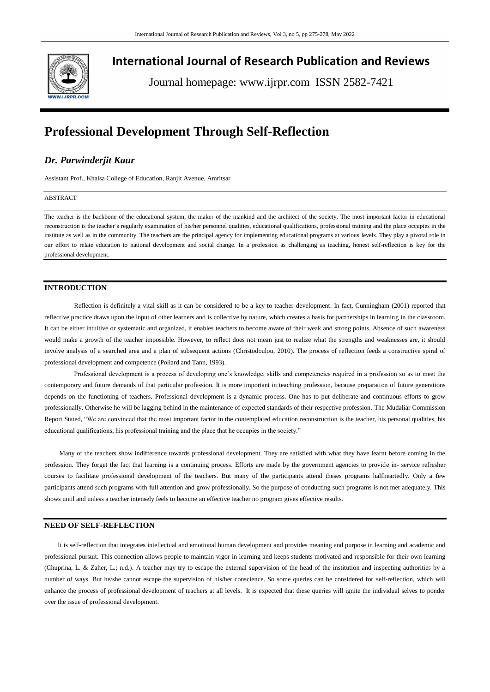

**International Journal of Research Publication and Reviews**

Journal homepage: www.ijrpr.com ISSN 2582-7421

# **Professional Development Through Self-Reflection**

## *Dr. Parwinderjit Kaur*

Assistant Prof., Khalsa College of Education, Ranjit Avenue, Amritsar

## ABSTRACT

The teacher is the backbone of the educational system, the maker of the mankind and the architect of the society. The most important factor in educational reconstruction is the teacher's regularly examination of his/her personnel qualities, educational qualifications, professional training and the place occupies in the institute as well as in the community. The teachers are the principal agency for implementing educational programs at various levels. They play a pivotal role in our effort to relate education to national development and social change. In a profession as challenging as teaching, honest self-reflection is key for the professional development.

## **INTRODUCTION**

Reflection is definitely a vital skill as it can be considered to be a key to teacher development. In fact, Cunningham (2001) reported that reflective practice draws upon the input of other learners and is collective by nature, which creates a basis for partnerships in learning in the classroom. It can be either intuitive or systematic and organized, it enables teachers to become aware of their weak and strong points. Absence of such awareness would make a growth of the teacher impossible. However, to reflect does not mean just to realize what the strengths and weaknesses are, it should involve analysis of a searched area and a plan of subsequent actions (Christodoulou, 2010). The process of reflection feeds a constructive spiral of professional development and competence (Pollard and Tann, 1993).

Professional development is a process of developing one's knowledge, skills and competencies required in a profession so as to meet the contemporary and future demands of that particular profession. It is more important in teaching profession, because preparation of future generations depends on the functioning of teachers. Professional development is a dynamic process. One has to put deliberate and continuous efforts to grow professionally. Otherwise he will be lagging behind in the maintenance of expected standards of their respective profession. The Mudaliar Commission Report Stated, "We are convinced that the most important factor in the contemplated education reconstruction is the teacher, his personal qualities, his educational qualifications, his professional training and the place that he occupies in the society."

 Many of the teachers show indifference towards professional development. They are satisfied with what they have learnt before coming in the profession. They forget the fact that learning is a continuing process. Efforts are made by the government agencies to provide in- service refresher courses to facilitate professional development of the teachers. But many of the participants attend theses programs halfheartedly. Only a few participants attend such programs with full attention and grow professionally. So the purpose of conducting such programs is not met adequately. This shows until and unless a teacher intensely feels to become an effective teacher no program gives effective results.

## **NEED OF SELF-REFLECTION**

 It is self-reflection that integrates intellectual and emotional human development and provides meaning and purpose in learning and academic and professional pursuit. This connection allows people to maintain vigor in learning and keeps students motivated and responsible for their own learning (Chuprina, L. & Zaher, L.; n.d.). A teacher may try to escape the external supervision of the head of the institution and inspecting authorities by a number of ways. But he/she cannot escape the supervision of his/her conscience. So some queries can be considered for self-reflection, which will enhance the process of professional development of teachers at all levels. It is expected that these queries will ignite the individual selves to ponder over the issue of professional development.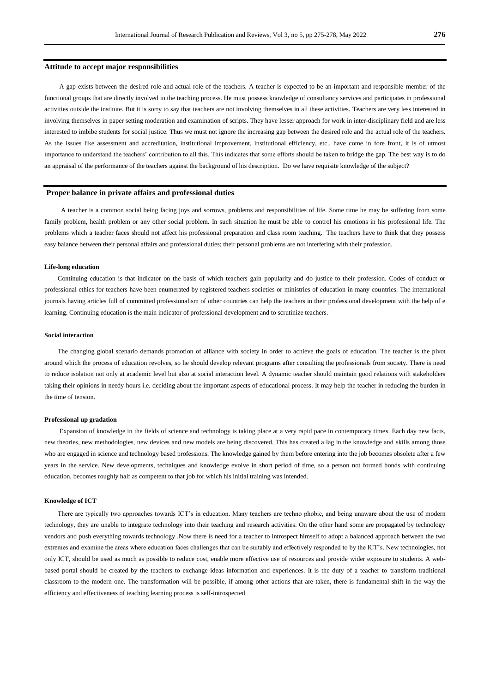#### **Attitude to accept major responsibilities**

 A gap exists between the desired role and actual role of the teachers. A teacher is expected to be an important and responsible member of the functional groups that are directly involved in the teaching process. He must possess knowledge of consultancy services and participates in professional activities outside the institute. But it is sorry to say that teachers are not involving themselves in all these activities. Teachers are very less interested in involving themselves in paper setting moderation and examination of scripts. They have lesser approach for work in inter-disciplinary field and are less interested to imbibe students for social justice. Thus we must not ignore the increasing gap between the desired role and the actual role of the teachers. As the issues like assessment and accreditation, institutional improvement, institutional efficiency, etc., have come in fore front, it is of utmost importance to understand the teachers' contribution to all this. This indicates that some efforts should be taken to bridge the gap. The best way is to do an appraisal of the performance of the teachers against the background of his description. Do we have requisite knowledge of the subject?

#### **Proper balance in private affairs and professional duties**

 A teacher is a common social being facing joys and sorrows, problems and responsibilities of life. Some time he may be suffering from some family problem, health problem or any other social problem. In such situation he must be able to control his emotions in his professional life. The problems which a teacher faces should not affect his professional preparation and class room teaching. The teachers have to think that they possess easy balance between their personal affairs and professional duties; their personal problems are not interfering with their profession.

#### **Life-long education**

Continuing education is that indicator on the basis of which teachers gain popularity and do justice to their profession. Codes of conduct or professional ethics for teachers have been enumerated by registered teachers societies or ministries of education in many countries. The international journals having articles full of committed professionalism of other countries can help the teachers in their professional development with the help of e learning. Continuing education is the main indicator of professional development and to scrutinize teachers.

#### **Social interaction**

 The changing global scenario demands promotion of alliance with society in order to achieve the goals of education. The teacher is the pivot around which the process of education revolves, so he should develop relevant programs after consulting the professionals from society. There is need to reduce isolation not only at academic level but also at social interaction level. A dynamic teacher should maintain good relations with stakeholders taking their opinions in needy hours i.e. deciding about the important aspects of educational process. It may help the teacher in reducing the burden in the time of tension.

#### **Professional up gradation**

 Expansion of knowledge in the fields of science and technology is taking place at a very rapid pace in contemporary times. Each day new facts, new theories, new methodologies, new devices and new models are being discovered. This has created a lag in the knowledge and skills among those who are engaged in science and technology based professions. The knowledge gained by them before entering into the job becomes obsolete after a few years in the service. New developments, techniques and knowledge evolve in short period of time, so a person not formed bonds with continuing education, becomes roughly half as competent to that job for which his initial training was intended.

#### **Knowledge of ICT**

 There are typically two approaches towards ICT's in education. Many teachers are techno phobic, and being unaware about the use of modern technology, they are unable to integrate technology into their teaching and research activities. On the other hand some are propagated by technology vendors and push everything towards technology .Now there is need for a teacher to introspect himself to adopt a balanced approach between the two extremes and examine the areas where education faces challenges that can be suitably and effectively responded to by the ICT's. New technologies, not only ICT, should be used as much as possible to reduce cost, enable more effective use of resources and provide wider exposure to students. A webbased portal should be created by the teachers to exchange ideas information and experiences. It is the duty of a teacher to transform traditional classroom to the modern one. The transformation will be possible, if among other actions that are taken, there is fundamental shift in the way the efficiency and effectiveness of teaching learning process is self-introspected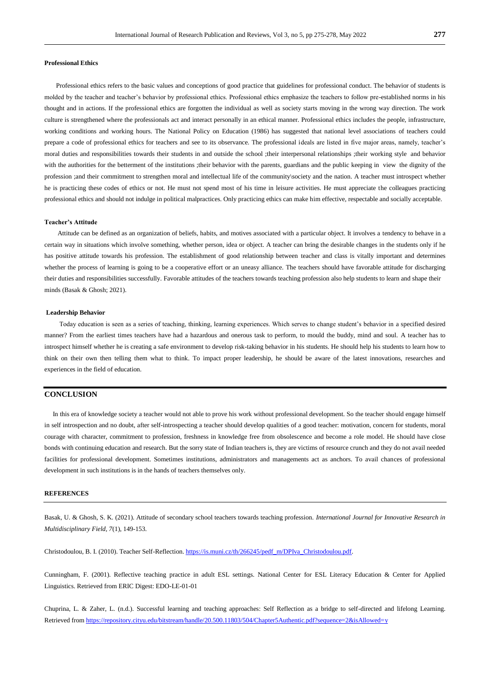#### **Professional Ethics**

 Professional ethics refers to the basic values and conceptions of good practice that guidelines for professional conduct. The behavior of students is molded by the teacher and teacher's behavior by professional ethics. Professional ethics emphasize the teachers to follow pre-established norms in his thought and in actions. If the professional ethics are forgotten the individual as well as society starts moving in the wrong way direction. The work culture is strengthened where the professionals act and interact personally in an ethical manner. Professional ethics includes the people, infrastructure, working conditions and working hours. The National Policy on Education (1986) has suggested that national level associations of teachers could prepare a code of professional ethics for teachers and see to its observance. The professional ideals are listed in five major areas, namely, teacher's moral duties and responsibilities towards their students in and outside the school ;their interpersonal relationships ;their working style and behavior with the authorities for the betterment of the institutions ;their behavior with the parents, guardians and the public keeping in view the dignity of the profession ;and their commitment to strengthen moral and intellectual life of the community\society and the nation. A teacher must introspect whether he is practicing these codes of ethics or not. He must not spend most of his time in leisure activities. He must appreciate the colleagues practicing professional ethics and should not indulge in political malpractices. Only practicing ethics can make him effective, respectable and socially acceptable.

#### **Teacher's Attitude**

 Attitude can be defined as an organization of beliefs, habits, and motives associated with a particular object. It involves a tendency to behave in a certain way in situations which involve something, whether person, idea or object. A teacher can bring the desirable changes in the students only if he has positive attitude towards his profession. The establishment of good relationship between teacher and class is vitally important and determines whether the process of learning is going to be a cooperative effort or an uneasy alliance. The teachers should have favorable attitude for discharging their duties and responsibilities successfully. Favorable attitudes of the teachers towards teaching profession also help students to learn and shape their minds (Basak & Ghosh; 2021).

#### **Leadership Behavior**

 Today education is seen as a series of teaching, thinking, learning experiences. Which serves to change student's behavior in a specified desired manner? From the earliest times teachers have had a hazardous and onerous task to perform, to mould the buddy, mind and soul. A teacher has to introspect himself whether he is creating a safe environment to develop risk-taking behavior in his students. He should help his students to learn how to think on their own then telling them what to think. To impact proper leadership, he should be aware of the latest innovations, researches and experiences in the field of education.

## **CONCLUSION**

In this era of knowledge society a teacher would not able to prove his work without professional development. So the teacher should engage himself in self introspection and no doubt, after self-introspecting a teacher should develop qualities of a good teacher: motivation, concern for students, moral courage with character, commitment to profession, freshness in knowledge free from obsolescence and become a role model. He should have close bonds with continuing education and research. But the sorry state of Indian teachers is, they are victims of resource crunch and they do not avail needed facilities for professional development. Sometimes institutions, administrators and managements act as anchors. To avail chances of professional development in such institutions is in the hands of teachers themselves only.

## **REFERENCES**

Basak, U. & Ghosh, S. K. (2021). Attitude of secondary school teachers towards teaching profession. *International Journal for Innovative Research in Multidisciplinary Field, 7*(1), 149-153.

Christodoulou, B. I. (2010). Teacher Self-Reflection[. https://is.muni.cz/th/266245/pedf\\_m/DPIva\\_Christodoulou.pdf.](https://is.muni.cz/th/266245/pedf_m/DPIva_Christodoulou.pdf)

Cunningham, F. (2001). Reflective teaching practice in adult ESL settings. National Center for ESL Literacy Education & Center for Applied Linguistics. Retrieved from ERIC Digest: EDO-LE-01-01

Chuprina, L. & Zaher, L. (n.d.). Successful learning and teaching approaches: Self Reflection as a bridge to self-directed and lifelong Learning. Retrieved fro[m https://repository.cityu.edu/bitstream/handle/20.500.11803/504/Chapter5Authentic.pdf?sequence=2&isAllowed=y](https://repository.cityu.edu/bitstream/handle/20.500.11803/504/Chapter5Authentic.pdf?sequence=2&isAllowed=y)